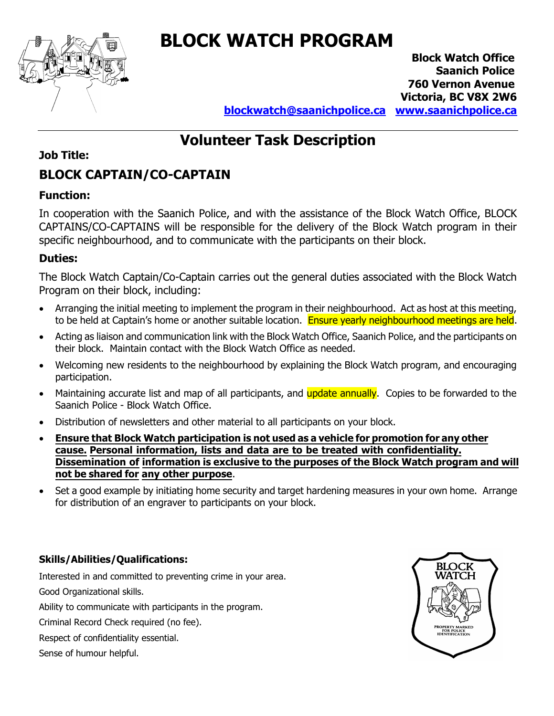

# **BLOCK WATCH PROGRAM**

**Block Watch Office Saanich Police 760 Vernon Avenue Victoria, BC V8X 2W6**

**blockwatch@saanichpolice.ca www.saanichpolice.ca**

## **Volunteer Task Description**

## **Job Title:**

## **BLOCK CAPTAIN/CO-CAPTAIN**

## **Function:**

In cooperation with the Saanich Police, and with the assistance of the Block Watch Office, BLOCK CAPTAINS/CO-CAPTAINS will be responsible for the delivery of the Block Watch program in their specific neighbourhood, and to communicate with the participants on their block.

### **Duties:**

The Block Watch Captain/Co-Captain carries out the general duties associated with the Block Watch Program on their block, including:

- Arranging the initial meeting to implement the program in their neighbourhood. Act as host at this meeting, to be held at Captain's home or another suitable location. Ensure yearly neighbourhood meetings are held.
- Acting as liaison and communication link with the Block Watch Office, Saanich Police, and the participants on their block. Maintain contact with the Block Watch Office as needed.
- Welcoming new residents to the neighbourhood by explaining the Block Watch program, and encouraging participation.
- Maintaining accurate list and map of all participants, and update annually. Copies to be forwarded to the Saanich Police - Block Watch Office.
- Distribution of newsletters and other material to all participants on your block.
- **Ensure that Block Watch participation is not used as a vehicle for promotion for any other cause. Personal information, lists and data are to be treated with confidentiality. Dissemination of information is exclusive to the purposes of the Block Watch program and will not be shared for any other purpose**.
- Set a good example by initiating home security and target hardening measures in your own home. Arrange for distribution of an engraver to participants on your block.

## **Skills/Abilities/Qualifications:**

Interested in and committed to preventing crime in your area. Good Organizational skills.

Ability to communicate with participants in the program.

Criminal Record Check required (no fee).

Respect of confidentiality essential.

Sense of humour helpful.

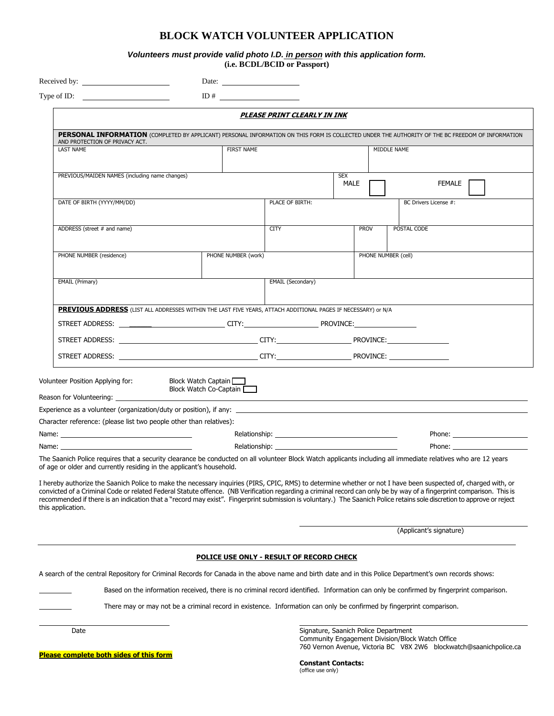#### **BLOCK WATCH VOLUNTEER APPLICATION**

*Volunteers must provide valid photo I.D. in person with this application form.*  **(i.e. BCDL/BCID or Passport)** 

|                                                                                                                                                                                                                                       | Date: $\frac{1}{\sqrt{1-\frac{1}{2}} \cdot \frac{1}{2}}$                                                                                                                                                                      |                   |                    |                                                                                                                                                                                                                                |  |  |  |  |  |
|---------------------------------------------------------------------------------------------------------------------------------------------------------------------------------------------------------------------------------------|-------------------------------------------------------------------------------------------------------------------------------------------------------------------------------------------------------------------------------|-------------------|--------------------|--------------------------------------------------------------------------------------------------------------------------------------------------------------------------------------------------------------------------------|--|--|--|--|--|
|                                                                                                                                                                                                                                       | ID#                                                                                                                                                                                                                           |                   |                    |                                                                                                                                                                                                                                |  |  |  |  |  |
| PLEASE PRINT CLEARLY IN INK                                                                                                                                                                                                           |                                                                                                                                                                                                                               |                   |                    |                                                                                                                                                                                                                                |  |  |  |  |  |
| PERSONAL INFORMATION (COMPLETED BY APPLICANT) PERSONAL INFORMATION ON THIS FORM IS COLLECTED UNDER THE AUTHORITY OF THE BC FREEDOM OF INFORMATION<br>AND PROTECTION OF PRIVACY ACT.                                                   |                                                                                                                                                                                                                               |                   |                    |                                                                                                                                                                                                                                |  |  |  |  |  |
| <b>LAST NAME</b>                                                                                                                                                                                                                      | <b>FIRST NAME</b>                                                                                                                                                                                                             |                   |                    | MIDDLE NAME                                                                                                                                                                                                                    |  |  |  |  |  |
| PREVIOUS/MAIDEN NAMES (including name changes)                                                                                                                                                                                        |                                                                                                                                                                                                                               |                   | <b>SEX</b><br>MALE | FEMALE                                                                                                                                                                                                                         |  |  |  |  |  |
| DATE OF BIRTH (YYYY/MM/DD)                                                                                                                                                                                                            |                                                                                                                                                                                                                               | PLACE OF BIRTH:   |                    | BC Drivers License #:                                                                                                                                                                                                          |  |  |  |  |  |
| ADDRESS (street # and name)                                                                                                                                                                                                           |                                                                                                                                                                                                                               | CITY              | <b>PROV</b>        | POSTAL CODE                                                                                                                                                                                                                    |  |  |  |  |  |
| PHONE NUMBER (residence)                                                                                                                                                                                                              | PHONE NUMBER (work)                                                                                                                                                                                                           |                   |                    | PHONE NUMBER (cell)                                                                                                                                                                                                            |  |  |  |  |  |
| EMAIL (Primary)                                                                                                                                                                                                                       |                                                                                                                                                                                                                               | EMAIL (Secondary) |                    |                                                                                                                                                                                                                                |  |  |  |  |  |
| PREVIOUS ADDRESS (LIST ALL ADDRESSES WITHIN THE LAST FIVE YEARS, ATTACH ADDITIONAL PAGES IF NECESSARY) or N/A                                                                                                                         |                                                                                                                                                                                                                               |                   |                    |                                                                                                                                                                                                                                |  |  |  |  |  |
| STREET ADDRESS: _______________________________CITY:_____________________________PROVINCE:____________________                                                                                                                        |                                                                                                                                                                                                                               |                   |                    |                                                                                                                                                                                                                                |  |  |  |  |  |
|                                                                                                                                                                                                                                       |                                                                                                                                                                                                                               |                   |                    |                                                                                                                                                                                                                                |  |  |  |  |  |
|                                                                                                                                                                                                                                       |                                                                                                                                                                                                                               |                   |                    |                                                                                                                                                                                                                                |  |  |  |  |  |
| Volunteer Position Applying for:<br>Block Watch Captain<br>Block Watch Co-Captain<br>Reason for Volunteering:                                                                                                                         | <u> 1989 - Johann Stein, mars an t-Amerikaansk kommunister (</u>                                                                                                                                                              |                   |                    |                                                                                                                                                                                                                                |  |  |  |  |  |
| Experience as a volunteer (organization/duty or position), if any:                                                                                                                                                                    |                                                                                                                                                                                                                               |                   |                    |                                                                                                                                                                                                                                |  |  |  |  |  |
| Character reference: (please list two people other than relatives):                                                                                                                                                                   |                                                                                                                                                                                                                               |                   |                    |                                                                                                                                                                                                                                |  |  |  |  |  |
| Name: when the contract of the contract of the contract of the contract of the contract of the contract of the contract of the contract of the contract of the contract of the contract of the contract of the contract of the        | Relationship: the contract of the contract of the contract of the contract of the contract of the contract of the contract of the contract of the contract of the contract of the contract of the contract of the contract of |                   |                    | Phone: and the contract of the contract of the contract of the contract of the contract of the contract of the contract of the contract of the contract of the contract of the contract of the contract of the contract of the |  |  |  |  |  |
| Name: when the contract of the contract of the contract of the contract of the contract of the contract of the                                                                                                                        | Relationship: the contract of the contract of the contract of the contract of the contract of the contract of the contract of the contract of the contract of the contract of the contract of the contract of the contract of |                   |                    | Phone: and the state of the state of the state of the state of the state of the state of the state of the state of the state of the state of the state of the state of the state of the state of the state of the state of the |  |  |  |  |  |
| The Saanich Police requires that a security clearance be conducted on all volunteer Block Watch applicants including all immediate relatives who are 12 years<br>of age or older and currently residing in the applicant's household. |                                                                                                                                                                                                                               |                   |                    |                                                                                                                                                                                                                                |  |  |  |  |  |

I hereby authorize the Saanich Police to make the necessary inquiries (PIRS, CPIC, RMS) to determine whether or not I have been suspected of, charged with, or convicted of a Criminal Code or related Federal Statute offence. (NB Verification regarding a criminal record can only be by way of a fingerprint comparison. This is recommended if there is an indication that a "record may exist". Fingerprint submission is voluntary.) The Saanich Police retains sole discretion to approve or reject this application.

(Applicant's signature)

#### **POLICE USE ONLY - RESULT OF RECORD CHECK**

A search of the central Repository for Criminal Records for Canada in the above name and birth date and in this Police Department's own records shows:

Based on the information received, there is no criminal record identified. Information can only be confirmed by fingerprint comparison.

There may or may not be a criminal record in existence. Information can only be confirmed by fingerprint comparison.

Date **Signature, Saanich Police Department** Community Engagement Division/Block Watch Office 760 Vernon Avenue, Victoria BC V8X 2W6 blockwatch@saanichpolice.ca

**Please complete both sides of this form**

**Constant Contacts:**  (office use only)